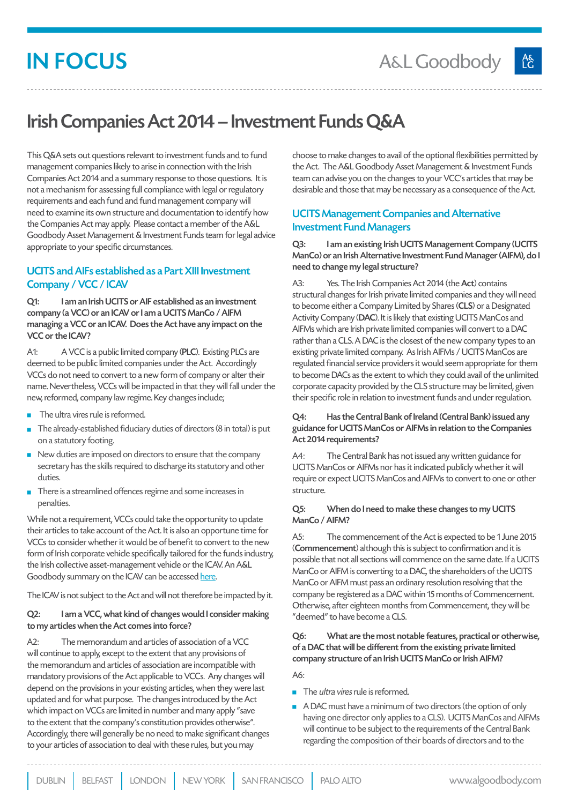# IN FOCUS

## Irish Companies Act 2014 – Investment Funds Q&A

This Q&A sets out questions relevant to investment funds and to fund management companies likely to arise in connection with the Irish Companies Act 2014 and a summary response to those questions. It is not a mechanism for assessing full compliance with legal or regulatory requirements and each fund and fund management company will need to examine its own structure and documentation to identify how the Companies Act may apply. Please contact a member of the A&L Goodbody Asset Management & Investment Funds team for legal advice appropriate to your specific circumstances.

## UCITS and AIFs established as a Part XIII Investment Company / VCC / ICAV

Q1: I am an Irish UCITS or AIF established as an investment company (a VCC) or an ICAV or I am a UCITS ManCo / AIFM managing a VCC or an ICAV. Does the Act have any impact on the VCC or the ICAV?

A1: A VCC is a public limited company (PLC). Existing PLCs are deemed to be public limited companies under the Act. Accordingly VCCs do not need to convert to a new form of company or alter their name. Nevertheless, VCCs will be impacted in that they will fall under the new, reformed, company law regime. Key changes include;

- $\blacksquare$  The ultra vires rule is reformed.
- $\blacksquare$  The already-established fiduciary duties of directors (8 in total) is put on a statutory footing.
- $\blacksquare$  New duties are imposed on directors to ensure that the company secretary has the skills required to discharge its statutory and other duties.
- $\blacksquare$  There is a streamlined offences regime and some increases in penalties.

While not a requirement, VCCs could take the opportunity to update their articles to take account of the Act. It is also an opportune time for VCCs to consider whether it would be of benefit to convert to the new form of Irish corporate vehicle specifically tailored for the funds industry, the Irish collective asset-management vehicle or the ICAV. An A&L Goodbody summary on the ICAV can be accessed [here.](http://www.algoodbody.com/expertise/irish_collective_assetmanagement_vehicle_icav)

The ICAV is not subject to the Act and will not therefore be impacted by it.

#### Q2: I am a VCC, what kind of changes would I consider making to my articles when the Act comes into force?

A2: The memorandum and articles of association of a VCC will continue to apply, except to the extent that any provisions of the memorandum and articles of association are incompatible with mandatory provisions of the Act applicable to VCCs. Any changes will depend on the provisions in your existing articles, when they were last updated and for what purpose. The changes introduced by the Act which impact on VCCs are limited in number and many apply "save to the extent that the company's constitution provides otherwise". Accordingly, there will generally be no need to make significant changes to your articles of association to deal with these rules, but you may

choose to make changes to avail of the optional flexibilities permitted by the Act. The A&L Goodbody Asset Management & Investment Funds team can advise you on the changes to your VCC's articles that may be desirable and those that may be necessary as a consequence of the Act.

## UCITS Management Companies and Alternative Investment Fund Managers

Q3: I am an existing Irish UCITS Management Company (UCITS ManCo) or an Irish Alternative Investment Fund Manager (AIFM), do I need to change my legal structure?

A3: Yes. The Irish Companies Act 2014 (the Act) contains structural changes for Irish private limited companies and they will need to become either a Company Limited by Shares (CLS) or a Designated Activity Company (DAC). It is likely that existing UCITS ManCos and AIFMs which are Irish private limited companies will convert to a DAC rather than a CLS. A DAC is the closest of the new company types to an existing private limited company. As Irish AIFMs / UCITS ManCos are regulated financial service providers it would seem appropriate for them to become DACs as the extent to which they could avail of the unlimited corporate capacity provided by the CLS structure may be limited, given their specific role in relation to investment funds and under regulation.

#### Q4: Has the Central Bank of Ireland (Central Bank) issued any guidance for UCITS ManCos or AIFMs in relation to the Companies Act 2014 requirements?

A4: The Central Bank has not issued any written guidance for UCITS ManCos or AIFMs nor has it indicated publicly whether it will require or expect UCITS ManCos and AIFMs to convert to one or other structure.

#### Q5: When do I need to make these changes to my UCITS ManCo / AIFM?

A5: The commencement of the Act is expected to be 1 June 2015 (Commencement) although this is subject to confirmation and it is possible that not all sections will commence on the same date. If a UCITS ManCo or AIFM is converting to a DAC, the shareholders of the UCITS ManCo or AIFM must pass an ordinary resolution resolving that the company be registered as a DAC within 15 months of Commencement. Otherwise, after eighteen months from Commencement, they will be "deemed" to have become a CLS.

### Q6: What are the most notable features, practical or otherwise, of a DAC that will be different from the existing private limited company structure of an Irish UCITS ManCo or Irish AIFM?

A6:

- $\blacksquare$  The *ultra vires* rule is reformed.
- A DAC must have a minimum of two directors (the option of only having one director only applies to a CLS). UCITS ManCos and AIFMs will continue to be subject to the requirements of the Central Bank regarding the composition of their boards of directors and to the

DUBLIN BELFAST LONDON NEW YORK SAN FRANCISCO PALO ALTO www.algoodbody.com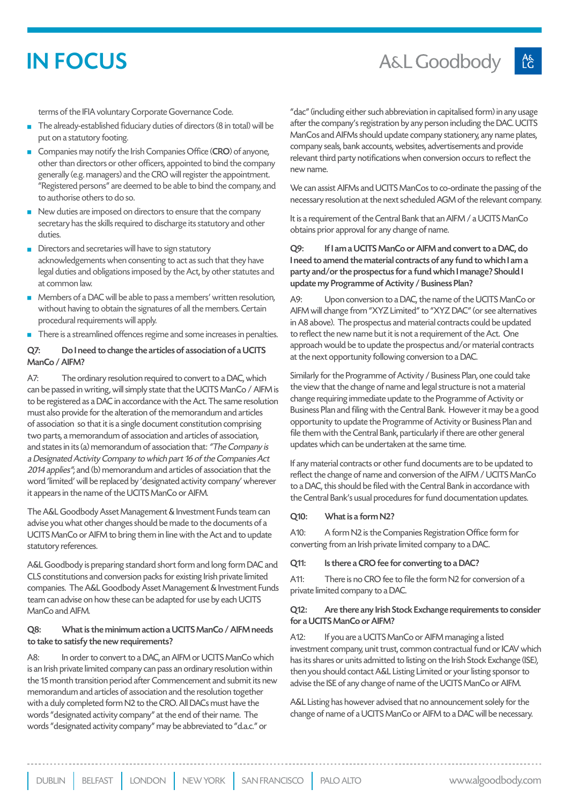## IN FOCUS

terms of the IFIA voluntary Corporate Governance Code.

- The already-established fiduciary duties of directors (8 in total) will be put on a statutory footing.
- Companies may notify the Irish Companies Office (CRO) of anyone, other than directors or other officers, appointed to bind the company generally (e.g. managers) and the CRO will register the appointment. "Registered persons" are deemed to be able to bind the company, and to authorise others to do so.
- New duties are imposed on directors to ensure that the company secretary has the skills required to discharge its statutory and other duties.
- Directors and secretaries will have to sign statutory acknowledgements when consenting to act as such that they have legal duties and obligations imposed by the Act, by other statutes and at common law.
- Members of a DAC will be able to pass a members' written resolution, without having to obtain the signatures of all the members. Certain procedural requirements will apply.
- $\blacksquare$  There is a streamlined offences regime and some increases in penalties.

#### Q7: Do I need to change the articles of association of a UCITS ManCo / AIFM?

A7: The ordinary resolution required to convert to a DAC, which can be passed in writing, will simply state that the UCITS ManCo / AIFM is to be registered as a DAC in accordance with the Act. The same resolution must also provide for the alteration of the memorandum and articles of association so that it is a single document constitution comprising two parts, a memorandum of association and articles of association, and states in its (a) memorandum of association that: "The Company is a Designated Activity Company to which part 16 of the Companies Act 2014 applies"; and (b) memorandum and articles of association that the word 'limited' will be replaced by 'designated activity company' wherever it appears in the name of the UCITS ManCo or AIFM.

The A&L Goodbody Asset Management & Investment Funds team can advise you what other changes should be made to the documents of a UCITS ManCo or AIFM to bring them in line with the Act and to update statutory references.

A&L Goodbody is preparing standard short form and long form DAC and CLS constitutions and conversion packs for existing Irish private limited companies. The A&L Goodbody Asset Management & Investment Funds team can advise on how these can be adapted for use by each UCITS ManCo and AIFM.

#### Q8: What is the minimum action a UCITS ManCo / AIFM needs to take to satisfy the new requirements?

A8: In order to convert to a DAC, an AIFM or UCITS ManCo which is an Irish private limited company can pass an ordinary resolution within the 15 month transition period after Commencement and submit its new memorandum and articles of association and the resolution together with a duly completed form N2 to the CRO. All DACs must have the words "designated activity company" at the end of their name. The words "designated activity company" may be abbreviated to "d.a.c." or

"dac" (including either such abbreviation in capitalised form) in any usage after the company's registration by any person including the DAC. UCITS ManCos and AIFMs should update company stationery, any name plates, company seals, bank accounts, websites, advertisements and provide relevant third party notifications when conversion occurs to reflect the new name.

We can assist AIFMs and UCITS ManCos to co-ordinate the passing of the necessary resolution at the next scheduled AGM of the relevant company.

It is a requirement of the Central Bank that an AIFM / a UCITS ManCo obtains prior approval for any change of name.

#### Q9: If I am a UCITS ManCo or AIFM and convert to a DAC, do I need to amend the material contracts of any fund to which I am a party and/or the prospectus for a fund which I manage? Should I update my Programme of Activity / Business Plan?

A9: Upon conversion to a DAC, the name of the UCITS ManCo or AIFM will change from "XYZ Limited" to "XYZ DAC" (or see alternatives in A8 above). The prospectus and material contracts could be updated to reflect the new name but it is not a requirement of the Act. One approach would be to update the prospectus and/or material contracts at the next opportunity following conversion to a DAC.

Similarly for the Programme of Activity / Business Plan, one could take the view that the change of name and legal structure is not a material change requiring immediate update to the Programme of Activity or Business Plan and filing with the Central Bank. However it may be a good opportunity to update the Programme of Activity or Business Plan and file them with the Central Bank, particularly if there are other general updates which can be undertaken at the same time.

If any material contracts or other fund documents are to be updated to reflect the change of name and conversion of the AIFM / UCITS ManCo to a DAC, this should be filed with the Central Bank in accordance with the Central Bank's usual procedures for fund documentation updates.

#### Q10: What is a form N2?

A10: A form N2 is the Companies Registration Office form for converting from an Irish private limited company to a DAC.

#### Q11: Is there a CRO fee for converting to a DAC?

A11: There is no CRO fee to file the form N2 for conversion of a private limited company to a DAC.

#### Q12: Are there any Irish Stock Exchange requirements to consider for a UCITS ManCo or AIFM?

A12: If you are a UCITS ManCo or AIFM managing a listed investment company, unit trust, common contractual fund or ICAV which has its shares or units admitted to listing on the Irish Stock Exchange (ISE), then you should contact A&L Listing Limited or your listing sponsor to advise the ISE of any change of name of the UCITS ManCo or AIFM.

A&L Listing has however advised that no announcement solely for the change of name of a UCITS ManCo or AIFM to a DAC will be necessary.